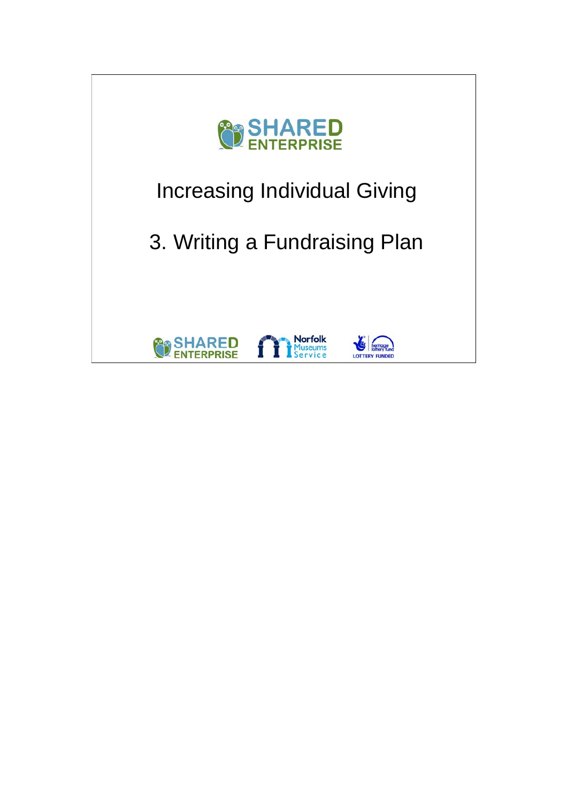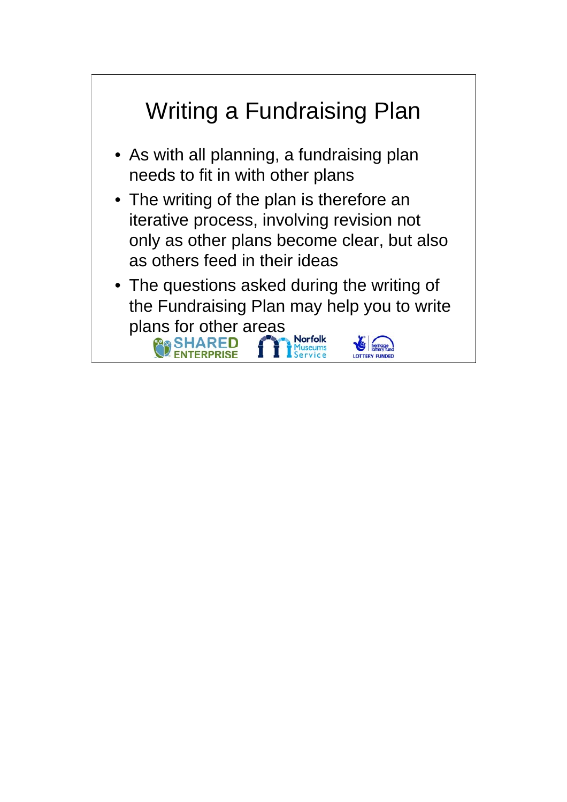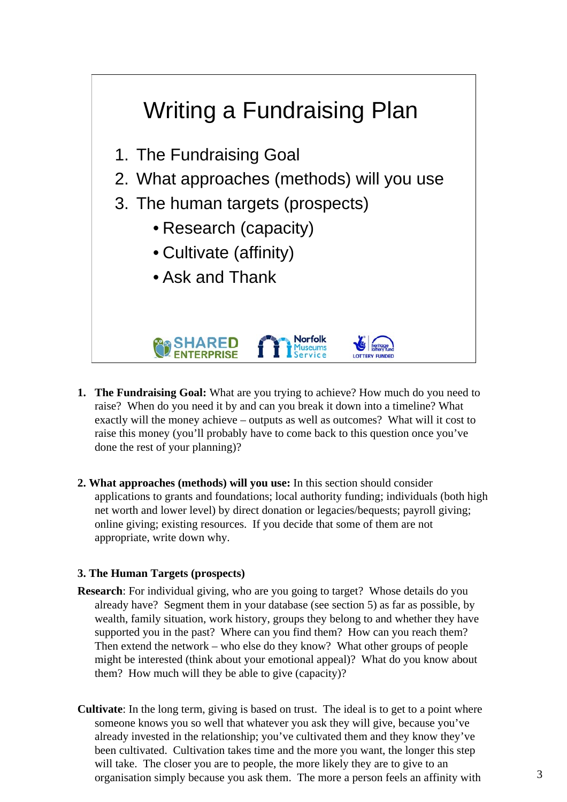

- **1. The Fundraising Goal:** What are you trying to achieve? How much do you need to raise? When do you need it by and can you break it down into a timeline? What exactly will the money achieve – outputs as well as outcomes? What will it cost to raise this money (you'll probably have to come back to this question once you've done the rest of your planning)?
- **2. What approaches (methods) will you use:** In this section should consider applications to grants and foundations; local authority funding; individuals (both high net worth and lower level) by direct donation or legacies/bequests; payroll giving; online giving; existing resources. If you decide that some of them are not appropriate, write down why.

## **3. The Human Targets (prospects)**

- **Research**: For individual giving, who are you going to target? Whose details do you already have? Segment them in your database (see section 5) as far as possible, by wealth, family situation, work history, groups they belong to and whether they have supported you in the past? Where can you find them? How can you reach them? Then extend the network – who else do they know? What other groups of people might be interested (think about your emotional appeal)? What do you know about them? How much will they be able to give (capacity)?
- **Cultivate**: In the long term, giving is based on trust. The ideal is to get to a point where someone knows you so well that whatever you ask they will give, because you've already invested in the relationship; you've cultivated them and they know they've been cultivated. Cultivation takes time and the more you want, the longer this step will take. The closer you are to people, the more likely they are to give to an organisation simply because you ask them. The more a person feels an affinity with 3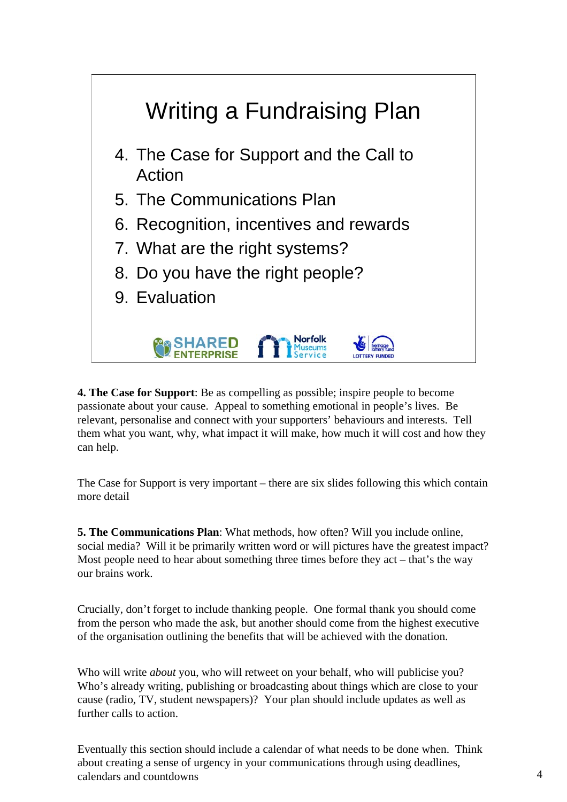

**4. The Case for Support**: Be as compelling as possible; inspire people to become passionate about your cause. Appeal to something emotional in people's lives. Be relevant, personalise and connect with your supporters' behaviours and interests. Tell them what you want, why, what impact it will make, how much it will cost and how they can help.

The Case for Support is very important – there are six slides following this which contain more detail

**5. The Communications Plan**: What methods, how often? Will you include online, social media? Will it be primarily written word or will pictures have the greatest impact? Most people need to hear about something three times before they  $act - that's$  the way our brains work.

Crucially, don't forget to include thanking people. One formal thank you should come from the person who made the ask, but another should come from the highest executive of the organisation outlining the benefits that will be achieved with the donation.

Who will write *about* you, who will retweet on your behalf, who will publicise you? Who's already writing, publishing or broadcasting about things which are close to your cause (radio, TV, student newspapers)? Your plan should include updates as well as further calls to action.

Eventually this section should include a calendar of what needs to be done when. Think about creating a sense of urgency in your communications through using deadlines, calendars and countdowns  $\frac{4}{3}$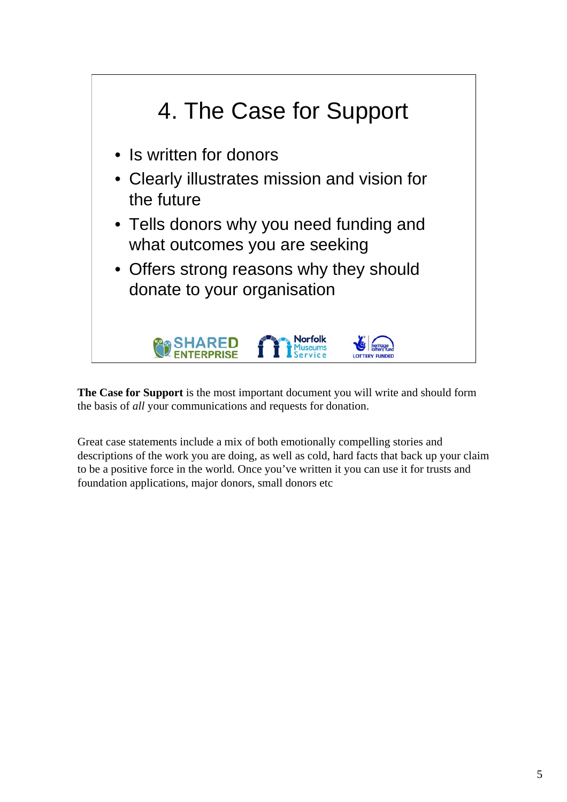

**The Case for Support** is the most important document you will write and should form the basis of *all* your communications and requests for donation.

Great case statements include a mix of both emotionally compelling stories and descriptions of the work you are doing, as well as cold, hard facts that back up your claim to be a positive force in the world. Once you've written it you can use it for trusts and foundation applications, major donors, small donors etc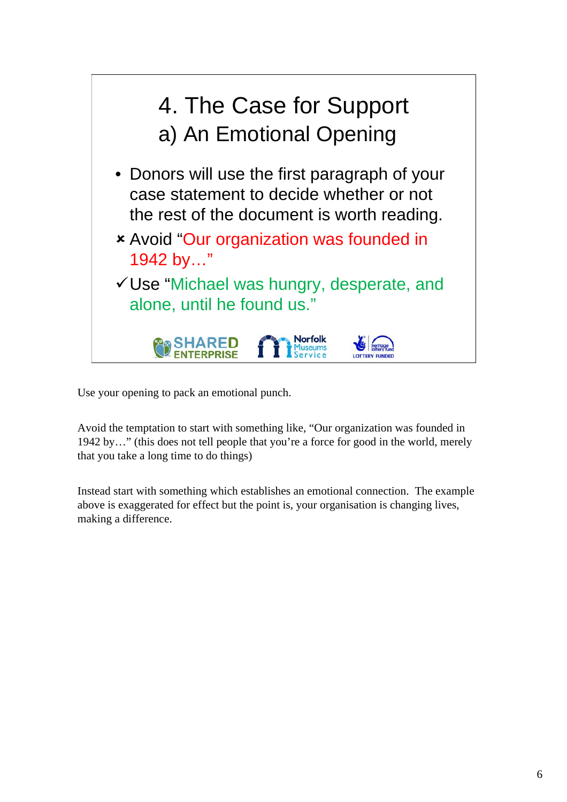

Use your opening to pack an emotional punch.

Avoid the temptation to start with something like, "Our organization was founded in 1942 by…" (this does not tell people that you're a force for good in the world, merely that you take a long time to do things)

Instead start with something which establishes an emotional connection. The example above is exaggerated for effect but the point is, your organisation is changing lives, making a difference.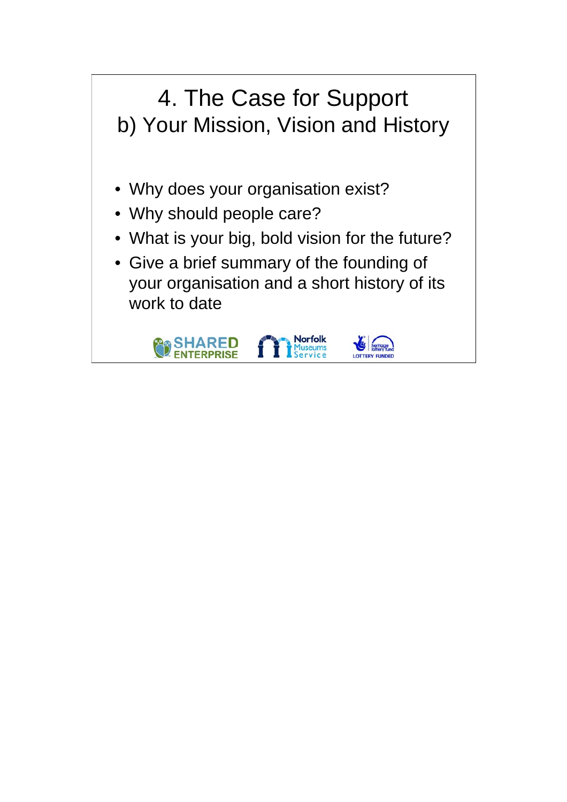## 4. The Case for Support b) Your Mission, Vision and History • Why does your organisation exist? • Why should people care? • What is your big, bold vision for the future? • Give a brief summary of the founding of your organisation and a short history of its work to date**Norfolk**<br>Museums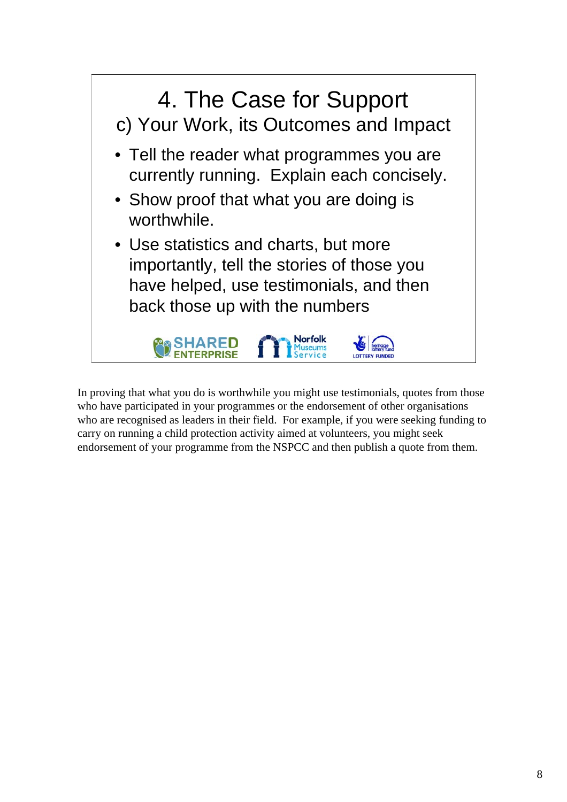

In proving that what you do is worthwhile you might use testimonials, quotes from those who have participated in your programmes or the endorsement of other organisations who are recognised as leaders in their field. For example, if you were seeking funding to carry on running a child protection activity aimed at volunteers, you might seek endorsement of your programme from the NSPCC and then publish a quote from them.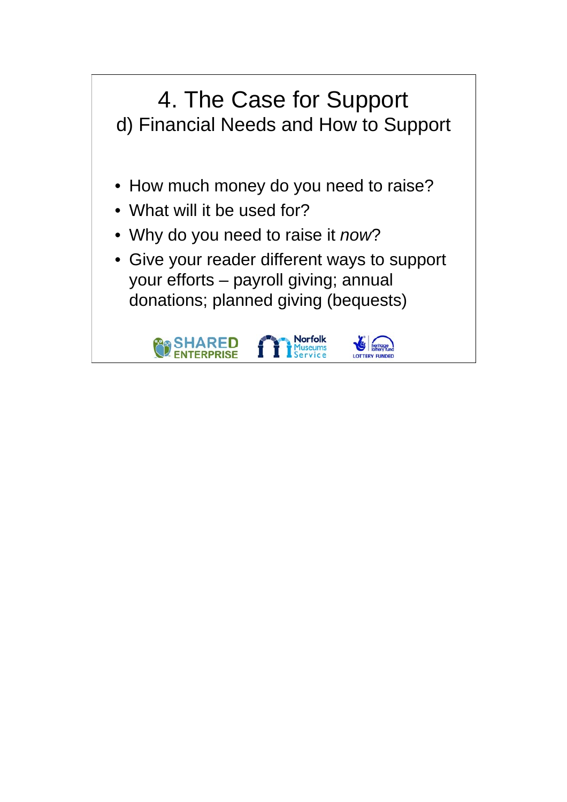